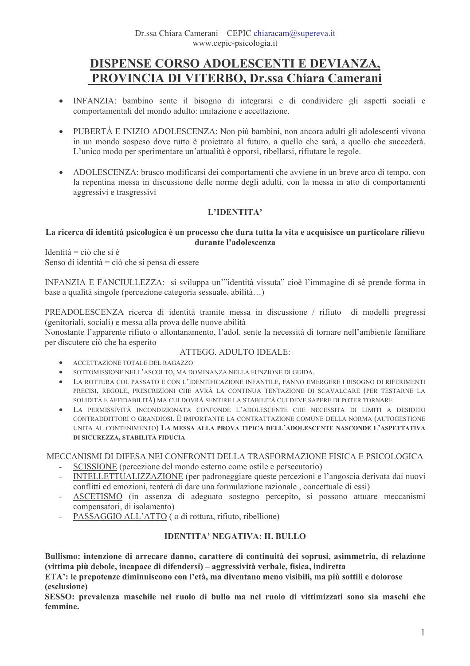# DISPENSE CORSO ADOLESCENTI E DEVIANZA, PROVINCIA DI VITERBO, Dr.ssa Chiara Camerani

- $\bullet$ INFANZIA: bambino sente il bisogno di integrarsi e di condividere gli aspetti sociali e comportamentali del mondo adulto: imitazione e accettazione.
- $\bullet$ PUBERTÀ E INIZIO ADOLESCENZA: Non più bambini, non ancora adulti gli adolescenti vivono in un mondo sospeso dove tutto è projettato al futuro, a quello che sarà, a quello che succederà. L'unico modo per sperimentare un'attualità è opporsi, ribellarsi, rifiutare le regole.
- ADOLESCENZA: brusco modificarsi dei comportamenti che avviene in un breve arco di tempo, con  $\bullet$ la repentina messa in discussione delle norme degli adulti, con la messa in atto di comportamenti aggressivi e trasgressivi

# L'IDENTITA'

### La ricerca di identità psicologica è un processo che dura tutta la vita e acquisisce un particolare rilievo durante l'adolescenza

Identità = ciò che si è Senso di identità = ciò che si pensa di essere

INFANZIA E FANCIULLEZZA: si sviluppa un'''identità vissuta'' cioè l'immagine di sé prende forma in base a qualità singole (percezione categoria sessuale, abilità...)

PREADOLESCENZA ricerca di identità tramite messa in discussione / rifiuto di modelli pregressi (genitoriali, sociali) e messa alla prova delle nuove abilità

Nonostante l'apparente rifiuto o allontanamento, l'adol. sente la necessità di tornare nell'ambiente familiare per discutere ciò che ha esperito

# ATTEGG, ADULTO IDEALE:

- ACCETTAZIONE TOTALE DEL RAGAZZO
- SOTTOMISSIONE NELL'ASCOLTO, MA DOMINANZA NELLA FUNZIONE DI GUIDA.
- LA ROTTURA COL PASSATO E CON L'IDENTIFICAZIONE INFANTILE, FANNO EMERGERE I BISOGNO DI RIFERIMENTI PRECISI, REGOLE, PRESCRIZIONI CHE AVRÀ LA CONTINUA TENTAZIONE DI SCAVALCARE (PER TESTARNE LA SOLIDITÀ E AFFIDABILITÀ) MA CUI DOVRÀ SENTIRE LA STABILITÀ CUI DEVE SAPERE DI POTER TORNARE
- LA PERMISSIVITÀ INCONDIZIONATA CONFONDE L'ADOLESCENTE CHE NECESSITA DI LIMITI A DESIDERI CONTRADDITTORI O GRANDIOSI. È IMPORTANTE LA CONTRATTAZIONE COMUNE DELLA NORMA (AUTOGESTIONE UNITA AL CONTENIMENTO) LA MESSA ALLA PROVA TIPICA DELL'ADOLESCENTE NASCONDE L'ASPETTATIVA DI SICUREZZA, STABILITÀ FIDUCIA

MECCANISMI DI DIFESA NEI CONFRONTI DELLA TRASFORMAZIONE FISICA E PSICOLOGICA

- SCISSIONE (percezione del mondo esterno come ostile e persecutorio)
- INTELLETTUALIZZAZIONE (per padroneggiare queste percezioni e l'angoscia derivata dai nuovi conflitti ed emozioni, tenterà di dare una formulazione razionale, concettuale di essi)
- ASCETISMO (in assenza di adeguato sostegno percepito, si possono attuare meccanismi compensatori, di isolamento)
- PASSAGGIO ALL'ATTO ( o di rottura, rifiuto, ribellione)

# **IDENTITA' NEGATIVA: IL BULLO**

Bullismo: intenzione di arrecare danno, carattere di continuità dei soprusi, asimmetria, di relazione (vittima più debole, incapace di difendersi) – aggressività verbale, fisica, indiretta

ETA': le prepotenze diminuiscono con l'età, ma diventano meno visibili, ma più sottili e dolorose (esclusione)

SESSO: prevalenza maschile nel ruolo di bullo ma nel ruolo di vittimizzati sono sia maschi che femmine.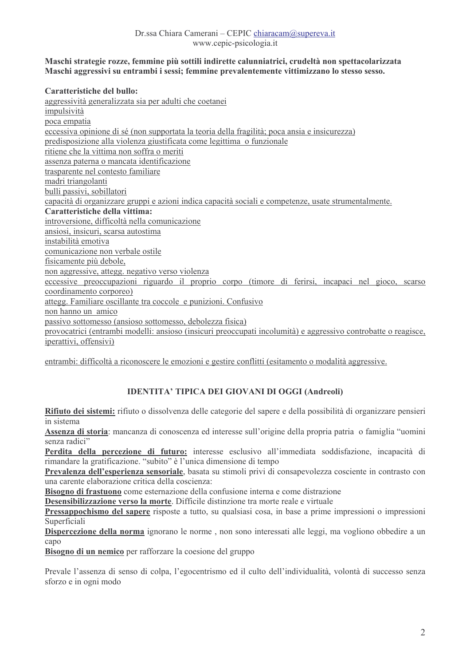### Maschi strategie rozze, femmine più sottili indirette calunniatrici, crudeltà non spettacolarizzata Maschi aggressivi su entrambi i sessi; femmine prevalentemente vittimizzano lo stesso sesso.

### **Caratteristiche del bullo:**

aggressività generalizzata sia per adulti che coetanei impulsività poca empatia eccessiva opinione di sé (non supportata la teoria della fragilità; poca ansia e insicurezza) predisposizione alla violenza giustificata come legittima o funzionale ritiene che la vittima non soffra o meriti assenza paterna o mancata identificazione trasparente nel contesto familiare madri triangolanti bulli passivi, sobillatori capacità di organizzare gruppi e azioni indica capacità sociali e competenze, usate strumentalmente. Caratteristiche della vittima: introversione, difficoltà nella comunicazione ansiosi, insicuri, scarsa autostima instabilità emotiva comunicazione non verbale ostile fisicamente più debole, non aggressive, attegg. negativo verso violenza eccessive preoccupazioni riguardo il proprio corpo (timore di ferirsi, incapaci nel gioco, scarso coordinamento corporeo) attegg. Familiare oscillante tra coccole e punizioni. Confusivo non hanno un amico passivo sottomesso (ansioso sottomesso, debolezza física) provocatrici (entrambi modelli: ansioso (insicuri preoccupati incolumità) e aggressivo controbatte o reagisce, iperattivi, offensivi)

entrambi: difficoltà a riconoscere le emozioni e gestire conflitti (esitamento o modalità aggressive.

# **IDENTITA' TIPICA DEI GIOVANI DI OGGI (Andreoli)**

Rifiuto dei sistemi: rifiuto o dissolvenza delle categorie del sapere e della possibilità di organizzare pensieri in sistema

Assenza di storia: mancanza di conoscenza ed interesse sull'origine della propria patria o famiglia "uomini senza radici"

Perdita della percezione di futuro: interesse esclusivo all'immediata soddisfazione, incapacità di rimandare la gratificazione. "subito" è l'unica dimensione di tempo

Prevalenza dell'esperienza sensoriale, basata su stimoli privi di consapevolezza cosciente in contrasto con una carente elaborazione critica della coscienza:

Bisogno di frastuono come esternazione della confusione interna e come distrazione

Desensibilizzazione verso la morte. Difficile distinzione tra morte reale e virtuale

Pressappochismo del sapere risposte a tutto, su qualsiasi cosa, in base a prime impressioni o impressioni Superficiali

Dispercezione della norma ignorano le norme, non sono interessati alle leggi, ma vogliono obbedire a un capo

Bisogno di un nemico per rafforzare la coesione del gruppo

Prevale l'assenza di senso di colpa, l'egocentrismo ed il culto dell'individualità, volontà di successo senza sforzo e in ogni modo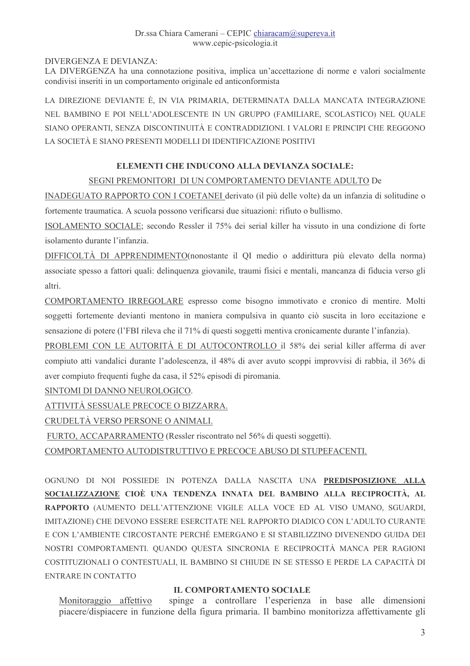# Dr.ssa Chiara Camerani – CEPIC chiaracam@supereva.it www.cepic-psicologia.it

# DIVERGENZA E DEVIANZA<sup>.</sup>

LA DIVERGENZA ha una connotazione positiva, implica un'accettazione di norme e valori socialmente condivisi inseriti in un comportamento originale ed anticonformista

LA DIREZIONE DEVIANTE È, IN VIA PRIMARIA, DETERMINATA DALLA MANCATA INTEGRAZIONE NEL BAMBINO E POI NELL'ADOLESCENTE IN UN GRUPPO (FAMILIARE, SCOLASTICO) NEL OUALE SIANO OPERANTI, SENZA DISCONTINUITÀ E CONTRADDIZIONI. I VALORI E PRINCIPI CHE REGGONO LA SOCIETÀ E SIANO PRESENTI MODELLI DI IDENTIFICAZIONE POSITIVI

# ELEMENTI CHE INDUCONO ALLA DEVIANZA SOCIALE:

# SEGNI PREMONITORI DI UN COMPORTAMENTO DEVIANTE ADULTO De

INADEGUATO RAPPORTO CON I COETANEI derivato (il più delle volte) da un infanzia di solitudine o fortemente traumatica. A scuola possono verificarsi due situazioni: rifiuto o bullismo.

ISOLAMENTO SOCIALE; secondo Ressler il 75% dei serial killer ha vissuto in una condizione di forte isolamento durante l'infanzia.

DIFFICOLTÀ DI APPRENDIMENTO(nonostante il OI medio o addirittura più elevato della norma) associate spesso a fattori quali: delinquenza giovanile, traumi físici e mentali, mancanza di fíducia verso gli altri.

COMPORTAMENTO IRREGOLARE espresso come bisogno immotivato e cronico di mentire. Molti soggetti fortemente devianti mentono in maniera compulsiva in quanto ciò suscita in loro eccitazione e sensazione di potere (l'FBI rileva che il 71% di questi soggetti mentiva cronicamente durante l'infanzia).

PROBLEMI CON LE AUTORITÀ E DI AUTOCONTROLLO il 58% dei serial killer afferma di aver compiuto atti vandalici durante l'adolescenza, il 48% di aver avuto scoppi improvvisi di rabbia, il 36% di aver compiuto frequenti fughe da casa, il 52% episodi di piromania.

SINTOMI DI DANNO NEUROLOGICO.

ATTIVITÀ SESSUALE PRECOCE O BIZZARRA.

CRUDELTÀ VERSO PERSONE O ANIMALI.

FURTO, ACCAPARRAMENTO (Ressler riscontrato nel 56% di questi soggetti).

COMPORTAMENTO AUTODISTRUTTIVO E PRECOCE ABUSO DI STUPEFACENTI.

OGNUNO DI NOI POSSIEDE IN POTENZA DALLA NASCITA UNA PREDISPOSIZIONE ALLA SOCIALIZZAZIONE CIOÈ UNA TENDENZA INNATA DEL BAMBINO ALLA RECIPROCITÀ, AL RAPPORTO (AUMENTO DELL'ATTENZIONE VIGILE ALLA VOCE ED AL VISO UMANO, SGUARDI, IMITAZIONE) CHE DEVONO ESSERE ESERCITATE NEL RAPPORTO DIADICO CON L'ADULTO CURANTE E CON L'AMBIENTE CIRCOSTANTE PERCHÉ EMERGANO E SI STABILIZZINO DIVENENDO GUIDA DEI NOSTRI COMPORTAMENTI. QUANDO QUESTA SINCRONIA E RECIPROCITÀ MANCA PER RAGIONI COSTITUZIONALI O CONTESTUALI, IL BAMBINO SI CHIUDE IN SE STESSO E PERDE LA CAPACITÀ DI ENTRARE IN CONTATTO

# **IL COMPORTAMENTO SOCIALE**

Monitoraggio affettivo spinge a controllare l'esperienza in base alle dimensioni piacere/dispiacere in funzione della figura primaria. Il bambino monitorizza affettivamente gli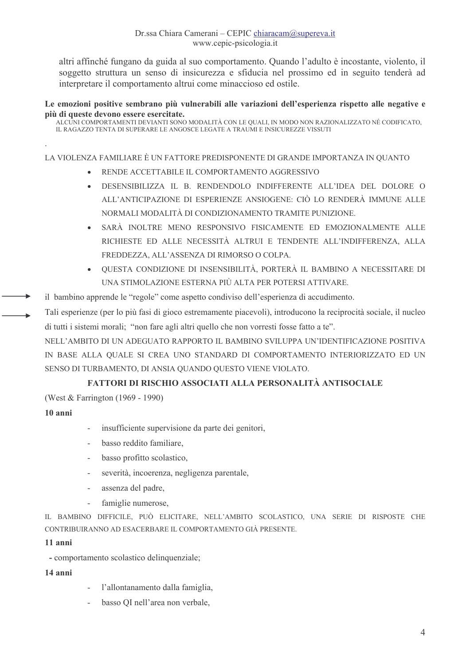altri affinché fungano da guida al suo comportamento. Quando l'adulto è incostante, violento, il soggetto struttura un senso di insicurezza e sfiducia nel prossimo ed in seguito tenderà ad interpretare il comportamento altrui come minaccioso ed ostile.

#### Le emozioni positive sembrano più vulnerabili alle variazioni dell'esperienza rispetto alle negative e più di queste devono essere esercitate.

ALCÚNI COMPORTAMENTI DEVIANTI SONO MODALITÀ CON LE QUALI, IN MODO NON RAZIONALIZZATO NÉ CODIFICATO, IL RAGAZZO TENTA DI SUPERARE LE ANGOSCE LEGATE A TRAUMI E INSICUREZZE VISSUTI

### LA VIOLENZA FAMILIARE È UN FATTORE PREDISPONENTE DI GRANDE IMPORTANZA IN OUANTO

- RENDE ACCETTABILE IL COMPORTAMENTO AGGRESSIVO
- DESENSIBILIZZA IL B. RENDENDOLO INDIFFERENTE ALL'IDEA DEL DOLORE O ALL'ANTICIPAZIONE DI ESPERIENZE ANSIOGENE: CIÒ LO RENDERÀ IMMUNE ALLE NORMALI MODALITÀ DI CONDIZIONAMENTO TRAMITE PUNIZIONE
- SARÀ INOLTRE MENO RESPONSIVO FISICAMENTE ED EMOZIONALMENTE ALLE  $\bullet$ RICHIESTE ED ALLE NECESSITÀ ALTRUI E TENDENTE ALL'INDIFFERENZA. ALLA FREDDEZZA, ALL'ASSENZA DI RIMORSO O COLPA.
- OUESTA CONDIZIONE DI INSENSIBILITÀ. PORTERÀ IL BAMBINO A NECESSITARE DI  $\bullet$ UNA STIMOLAZIONE ESTERNA PIÙ ALTA PER POTERSI ATTIVARE
- il bambino apprende le "regole" come aspetto condiviso dell'esperienza di accudimento.
- Tali esperienze (per lo più fasi di gioco estremamente piacevoli), introducono la reciprocità sociale, il nucleo di tutti i sistemi morali: "non fare agli altri quello che non vorresti fosse fatto a te".

NELL'AMBITO DI UN ADEGUATO RAPPORTO IL BAMBINO SVILUPPA UN'IDENTIFICAZIONE POSITIVA IN BASE ALLA QUALE SI CREA UNO STANDARD DI COMPORTAMENTO INTERIORIZZATO ED UN SENSO DI TURBAMENTO, DI ANSIA QUANDO QUESTO VIENE VIOLATO.

# FATTORI DI RISCHIO ASSOCIATI ALLA PERSONALITÀ ANTISOCIALE

(West & Farrington (1969 - 1990)

# 10 anni

- insufficiente supervisione da parte dei genitori,
- basso reddito familiare.
- basso profitto scolastico.  $\mathbb{R}^n$
- severità, incoerenza, negligenza parentale,
- assenza del padre,
- famiglie numerose,  $\sim$

IL BAMBINO DIFFICILE, PUÒ ELICITARE, NELL'AMBITO SCOLASTICO, UNA SERIE DI RISPOSTE CHE CONTRIBUIRANNO AD ESACERBARE IL COMPORTAMENTO GIÀ PRESENTE

#### 11 anni

- comportamento scolastico delinquenziale;

#### 14 anni

- l'allontanamento dalla famiglia,
- basso QI nell'area non verbale,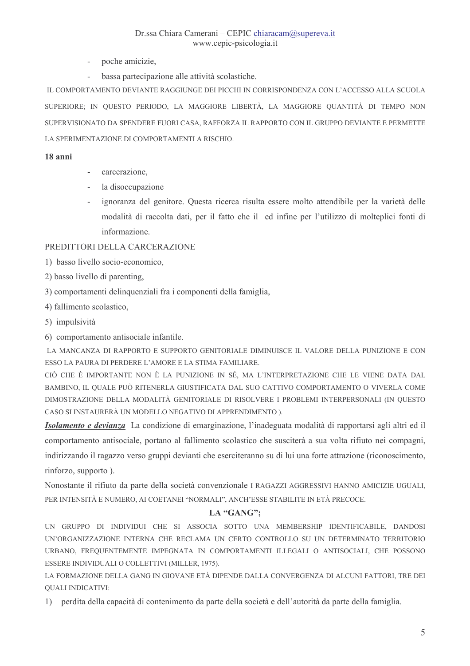- poche amicizie,
- bassa partecipazione alle attività scolastiche.

IL COMPORTAMENTO DEVIANTE RAGGIUNGE DEI PICCHI IN CORRISPONDENZA CON L'ACCESSO ALLA SCUOLA SUPERIORE; IN QUESTO PERIODO, LA MAGGIORE LIBERTÀ, LA MAGGIORE QUANTITÀ DI TEMPO NON SUPERVISIONATO DA SPENDERE FUORI CASA, RAFFORZA IL RAPPORTO CON IL GRUPPO DEVIANTE E PERMETTE LA SPERIMENTAZIONE DI COMPORTAMENTI A RISCHIO.

#### 18 anni

- $\mathbb{R}^{\mathbb{Z}^2}$ carcerazione.
- la disoccupazione
- ignoranza del genitore. Questa ricerca risulta essere molto attendibile per la varietà delle modalità di raccolta dati, per il fatto che il ed infine per l'utilizzo di molteplici fonti di informazione

# PREDITTORI DELLA CARCERAZIONE

- 1) basso livello socio-economico.
- 2) basso livello di parenting,
- 3) comportamenti delinquenziali fra i componenti della famiglia,
- 4) fallimento scolastico,
- 5) impulsività

6) comportamento antisociale infantile.

LA MANCANZA DI RAPPORTO E SUPPORTO GENITORIALE DIMINUISCE IL VALORE DELLA PUNIZIONE E CON ESSO LA PAURA DI PERDERE L'AMORE E LA STIMA FAMILIARE.

CIÒ CHE È IMPORTANTE NON È LA PUNIZIONE IN SÉ, MA L'INTERPRETAZIONE CHE LE VIENE DATA DAL BAMBINO. IL OUALE PUÒ RITENERLA GIUSTIFICATA DAL SUO CATTIVO COMPORTAMENTO O VIVERLA COME DIMOSTRAZIONE DELLA MODALITÀ GENITORIALE DI RISOLVERE I PROBLEMI INTERPERSONALI (IN QUESTO CASO SI INSTAURERÀ UN MODELLO NEGATIVO DI APPRENDIMENTO).

Isolamento e devianza La condizione di emarginazione, l'inadeguata modalità di rapportarsi agli altri ed il comportamento antisociale, portano al fallimento scolastico che susciterà a sua volta rifiuto nei compagni, indirizzando il ragazzo verso gruppi devianti che eserciteranno su di lui una forte attrazione (riconoscimento, rinforzo, supporto).

Nonostante il rifiuto da parte della società convenzionale I RAGAZZI AGGRESSIVI HANNO AMICIZIE UGUALI, PER INTENSITÀ E NUMERO, AI COETANEI "NORMALI", ANCH'ESSE STABILITE IN ETÀ PRECOCE.

# LA "GANG";

UN GRUPPO DI INDIVIDUI CHE SI ASSOCIA SOTTO UNA MEMBERSHIP IDENTIFICABILE, DANDOSI UN'ORGANIZZAZIONE INTERNA CHE RECLAMA UN CERTO CONTROLLO SU UN DETERMINATO TERRITORIO URBANO, FREQUENTEMENTE IMPEGNATA IN COMPORTAMENTI ILLEGALI O ANTISOCIALI, CHE POSSONO ESSERE INDIVIDUALI O COLLETTIVI (MILLER, 1975).

LA FORMAZIONE DELLA GANG IN GIOVANE ETÀ DIPENDE DALLA CONVERGENZA DI ALCUNI FATTORI, TRE DEI **QUALI INDICATIVI:** 

1) perdita della capacità di contenimento da parte della società e dell'autorità da parte della famiglia.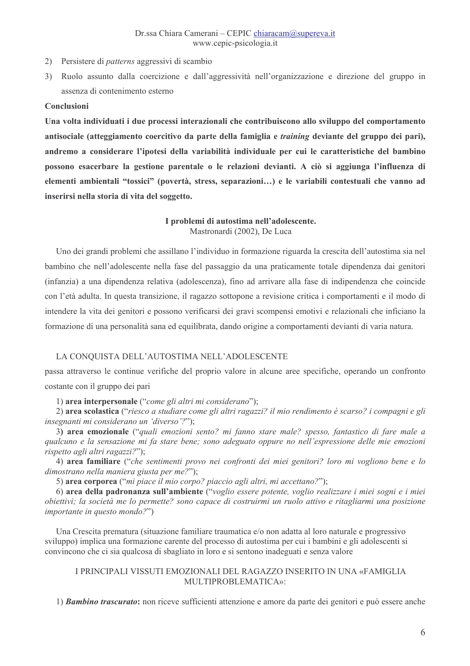- 2) Persistere di *patterns* aggressivi di scambio
- 3) Ruolo assunto dalla coercizione e dall'aggressività nell'organizzazione e direzione del gruppo in assenza di contenimento esterno

#### Conclusioni

Una volta individuati i due processi interazionali che contribuiscono allo sviluppo del comportamento antisociale (atteggiamento coercitivo da parte della famiglia e training deviante del gruppo dei pari), andremo a considerare l'ipotesi della variabilità individuale per cui le caratteristiche del bambino possono esacerbare la gestione parentale o le relazioni devianti. A ciò si aggiunga l'influenza di elementi ambientali "tossici" (povertà, stress, separazioni...) e le variabili contestuali che vanno ad inserirsi nella storia di vita del soggetto.

### I problemi di autostima nell'adolescente. Mastronardi (2002), De Luca

Uno dei grandi problemi che assillano l'individuo in formazione riguarda la crescita dell'autostima sia nel bambino che nell'adolescente nella fase del passaggio da una praticamente totale dipendenza dai genitori (infanzia) a una dipendenza relativa (adolescenza), fino ad arrivare alla fase di indipendenza che coincide con l'età adulta. In questa transizione, il ragazzo sottopone a revisione critica i comportamenti e il modo di intendere la vita dei genitori e possono verificarsi dei gravi scompensi emotivi e relazionali che inficiano la formazione di una personalità sana ed equilibrata, dando origine a comportamenti devianti di varia natura.

#### LA CONQUISTA DELL'AUTOSTIMA NELL'ADOLESCENTE

passa attraverso le continue verifiche del proprio valore in alcune aree specifiche, operando un confronto costante con il gruppo dei pari

1) area interpersonale ("come gli altri mi considerano");

2) area scolastica ("riesco a studiare come gli altri ragazzi? il mio rendimento è scarso? i compagni e gli *insegnanti mi considerano un 'diverso'?"*):

3) area emozionale ("quali emozioni sento? mi fanno stare male? spesso, fantastico di fare male a qualcuno e la sensazione mi fa stare bene; sono adeguato oppure no nell'espressione delle mie emozioni rispetto agli altri ragazzi?");

4) area familiare ("che sentimenti provo nei confronti dei miei genitori? loro mi vogliono bene e lo dimostrano nella maniera giusta per me?");

5) area corporea ("mi piace il mio corpo? piaccio agli altri, mi accettano?");

6) area della padronanza sull'ambiente ("voglio essere potente, voglio realizzare i miei sogni e i miei obiettivi; la società me lo permette? sono capace di costruirmi un ruolo attivo e ritagliarmi una posizione *importante in questo mondo?"*)

Una Crescita prematura (situazione familiare traumatica e/o non adatta al loro naturale e progressivo sviluppo) implica una formazione carente del processo di autostima per cui i bambini e gli adolescenti si convincono che ci sia qualcosa di sbagliato in loro e si sentono inadeguati e senza valore

### I PRINCIPALI VISSUTI EMOZIONALI DEL RAGAZZO INSERITO IN UNA «FAMIGLIA MULTIPROBLEMATICA»<sup>.</sup>

1) Bambino trascurato: non riceve sufficienti attenzione e amore da parte dei genitori e può essere anche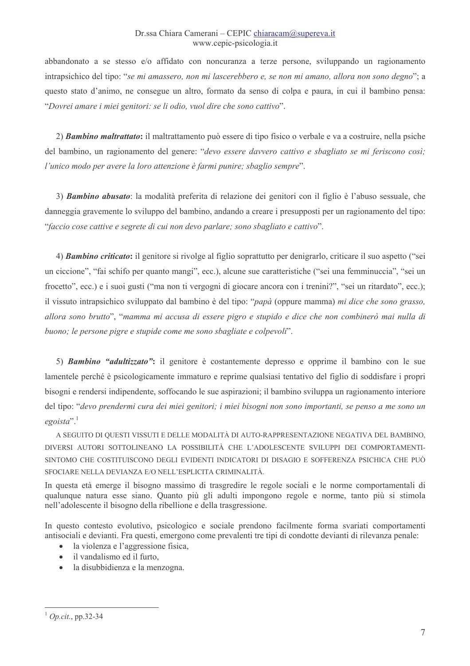### Dr.ssa Chiara Camerani – CEPIC chiaracam@supereva.it www.cepic-psicologia.it

abbandonato a se stesso e/o affidato con noncuranza a terze persone, sviluppando un ragionamento intrapsichico del tipo: "se mi amassero, non mi lascerebbero e, se non mi amano, allora non sono degno"; a questo stato d'animo, ne consegue un altro, formato da senso di colpa e paura, in cui il bambino pensa: "Dovrei amare i miei genitori: se li odio, vuol dire che sono cattivo".

2) Bambino maltrattato: il maltrattamento può essere di tipo fisico o verbale e va a costruire, nella psiche del bambino, un ragionamento del genere: "devo essere davvero cattivo e sbagliato se mi feriscono così; l'unico modo per avere la loro attenzione è farmi punire; sbaglio sempre".

3) Bambino abusato: la modalità preferita di relazione dei genitori con il figlio è l'abuso sessuale, che danneggia gravemente lo sviluppo del bambino, andando a creare i presupposti per un ragionamento del tipo: "faccio cose cattive e segrete di cui non devo parlare; sono sbagliato e cattivo".

4) *Bambino criticato*: il genitore si rivolge al figlio soprattutto per denigrarlo, criticare il suo aspetto ("sei un ciccione", "fai schifo per quanto mangi", ecc.), alcune sue caratteristiche ("sei una femminuccia", "sei un frocetto", ecc.) e i suoi gusti ("ma non ti vergogni di giocare ancora con i trenini?", "sei un ritardato", ecc.); il vissuto intrapsichico sviluppato dal bambino è del tipo: "papà (oppure mamma) mi dice che sono grasso, allora sono brutto", "mamma mi accusa di essere pigro e stupido e dice che non combinerò mai nulla di buono; le persone pigre e stupide come me sono sbagliate e colpevoli".

5) *Bambino "adultizzato"*: il genitore è costantemente depresso e opprime il bambino con le sue lamentele perché è psicologicamente immaturo e reprime qualsiasi tentativo del figlio di soddisfare i propri bisogni e rendersi indipendente, soffocando le sue aspirazioni; il bambino sviluppa un ragionamento interiore del tipo: "devo prendermi cura dei miei genitori; i miei bisogni non sono importanti, se penso a me sono un  $egoista$ <sup>".1</sup>

A SEGUITO DI QUESTI VISSUTI E DELLE MODALITÀ DI AUTO-RAPPRESENTAZIONE NEGATIVA DEL BAMBINO, DIVERSI AUTORI SOTTOLINEANO LA POSSIBILITÀ CHE L'ADOLESCENTE SVILUPPI DEI COMPORTAMENTI-SINTOMO CHE COSTITUISCONO DEGLI EVIDENTI INDICATORI DI DISAGIO E SOFFERENZA PSICHICA CHE PUÒ SFOCIARE NELLA DEVIANZA E/O NELL'ESPLICITA CRIMINALITÀ.

In questa età emerge il bisogno massimo di trasgredire le regole sociali e le norme comportamentali di qualunque natura esse siano. Quanto più gli adulti impongono regole e norme, tanto più si stimola nell'adolescente il bisogno della ribellione e della trasgressione.

In questo contesto evolutivo, psicologico e sociale prendono facilmente forma svariati comportamenti antisociali e devianti. Fra questi, emergono come prevalenti tre tipi di condotte devianti di rilevanza penale:

- la violenza e l'aggressione física,
- · il vandalismo ed il furto,
- · la disubbidienza e la menzogna.

 $1$  Op.cit., pp.32-34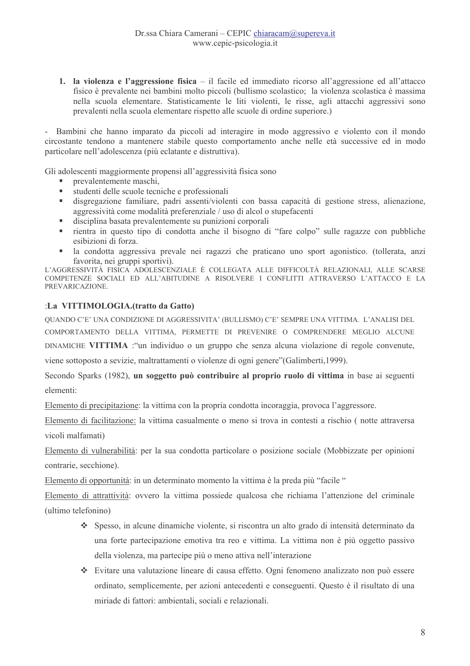1. la violenza e l'aggressione fisica – il facile ed immediato ricorso all'aggressione ed all'attacco físico è prevalente nei bambini molto piccoli (bullismo scolastico; la violenza scolastica è massima nella scuola elementare. Statisticamente le liti violenti, le risse, agli attacchi aggressivi sono prevalenti nella scuola elementare rispetto alle scuole di ordine superiore.)

- Bambini che hanno imparato da piccoli ad interagire in modo aggressivo e violento con il mondo circostante tendono a mantenere stabile questo comportamento anche nelle età successive ed in modo particolare nell'adolescenza (più eclatante e distruttiva).

Gli adolescenti maggiormente propensi all'aggressività fisica sono

- a. prevalentemente maschi,
- studenti delle scuole tecniche e professionali a.
- $\mathbf{r}$  . disgregazione familiare, padri assenti/violenti con bassa capacità di gestione stress, alienazione, aggressività come modalità preferenziale / uso di alcol o stupefacenti
- disciplina basata prevalentemente su punizioni corporali a.
- a. rientra in questo tipo di condotta anche il bisogno di "fare colpo" sulle ragazze con pubbliche esibizioni di forza.
- la condotta aggressiva prevale nei ragazzi che praticano uno sport agonistico. (tollerata, anzi a. favorita, nei gruppi sportivi).

L'AGGRESSIVITÀ FISICA ADOLESCÉNZIALE È COLLEGATA ALLE DIFFICOLTÀ RELAZIONALI, ALLE SCARSE COMPETENZE SOCIALI ED ALL'ABITUDINE A RISOLVERE I CONFLITTI ATTRAVERSO L'ATTACCO E LA PREVARICAZIONE.

### :La VITTIMOLOGIA.(tratto da Gatto)

OUANDO C'E' UNA CONDIZIONE DI AGGRESSIVITA' (BULLISMO) C'E' SEMPRE UNA VITTIMA. L'ANALISI DEL

COMPORTAMENTO DELLA VITTIMA, PERMETTE DI PREVENIRE O COMPRENDERE MEGLIO ALCUNE

DINAMICHE VITTIMA : "un individuo o un gruppo che senza alcuna violazione di regole convenute,

viene sottoposto a sevizie, maltrattamenti o violenze di ogni genere" (Galimberti, 1999).

Secondo Sparks (1982), un soggetto può contribuire al proprio ruolo di vittima in base ai seguenti elementi<sup>-</sup>

Elemento di precipitazione: la vittima con la propria condotta incoraggia, provoca l'aggressore.

Elemento di facilitazione: la vittima casualmente o meno si trova in contesti a rischio (notte attraversa vicoli malfamati)

Elemento di vulnerabilità: per la sua condotta particolare o posizione sociale (Mobbizzate per opinioni contrarie, secchione).

Elemento di opportunità: in un determinato momento la vittima è la preda più "facile"

Elemento di attrattività: ovvero la vittima possiede qualcosa che richiama l'attenzione del criminale (ultimo telefonino)

- Spesso, in alcune dinamiche violente, si riscontra un alto grado di intensità determinato da una forte partecipazione emotiva tra reo e vittima. La vittima non è più oggetto passivo della violenza, ma partecipe più o meno attiva nell'interazione
- ❖ Evitare una valutazione lineare di causa effetto. Ogni fenomeno analizzato non può essere ordinato, semplicemente, per azioni antecedenti e conseguenti. Questo è il risultato di una miriade di fattori: ambientali, sociali e relazionali.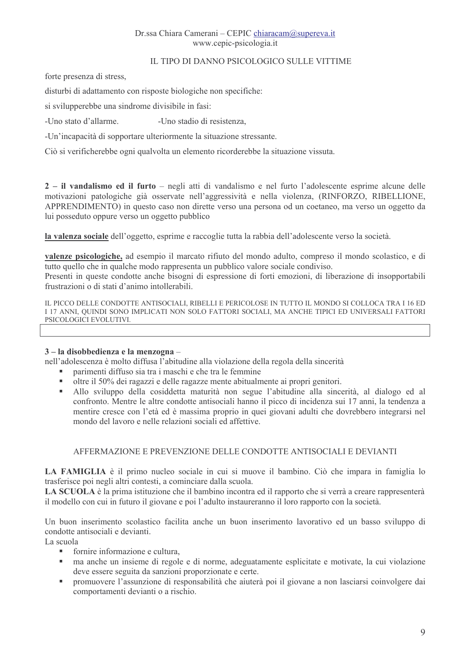### Dr.ssa Chiara Camerani – CEPIC chiaracam@supereva.it www.cepic-psicologia.it

# IL TIPO DI DANNO PSICOLOGICO SULLE VITTIME

forte presenza di stress.

disturbi di adattamento con risposte biologiche non specifiche:

si svilupperebbe una sindrome divisibile in fasi:

-Uno stato d'allarme -Uno stadio di resistenza.

-Un'incapacità di sopportare ulteriormente la situazione stressante.

Ciò si verificherebbe ogni qualvolta un elemento ricorderebbe la situazione vissuta.

2 – il vandalismo ed il furto – negli atti di vandalismo e nel furto l'adolescente esprime alcune delle motivazioni patologiche già osservate nell'aggressività e nella violenza, (RINFORZO, RIBELLIONE, APPRENDIMENTO) in questo caso non dirette verso una persona od un coetaneo, ma verso un oggetto da lui posseduto oppure verso un oggetto pubblico

la valenza sociale dell'oggetto, esprime e raccoglie tutta la rabbia dell'adolescente verso la società.

valenze psicologiche, ad esempio il marcato rifiuto del mondo adulto, compreso il mondo scolastico, e di tutto quello che in qualche modo rappresenta un pubblico valore sociale condiviso.

Presenti in queste condotte anche bisogni di espressione di forti emozioni, di liberazione di insopportabili frustrazioni o di stati d'animo intollerabili.

IL PICCO DELLE CONDOTTE ANTISOCIALI, RIBELLI E PERICOLOSE IN TUTTO IL MONDO SI COLLOCA TRA I 16 ED I 17 ANNI, OUINDI SONO IMPLICATI NON SOLO FATTORI SOCIALI, MA ANCHE TIPICI ED UNIVERSALI FATTORI PSICOLOGICI EVOLUTIVI.

### 3-la disobbedienza e la menzogna-

nell'adolescenza è molto diffusa l'abitudine alla violazione della regola della sincerità

- parimenti diffuso sia tra i maschi e che tra le femmine  $\blacksquare$
- a. oltre il 50% dei ragazzi e delle ragazze mente abitualmente ai propri genitori.
- a. Allo sviluppo della cosiddetta maturità non segue l'abitudine alla sincerità, al dialogo ed al confronto. Mentre le altre condotte antisociali hanno il picco di incidenza sui 17 anni, la tendenza a mentire cresce con l'età ed è massima proprio in quei giovani adulti che dovrebbero integrarsi nel mondo del lavoro e nelle relazioni sociali ed affettive

# AFFERMAZIONE E PREVENZIONE DELLE CONDOTTE ANTISOCIALI E DEVIANTI

LA FAMIGLIA è il primo nucleo sociale in cui si muove il bambino. Ciò che impara in famiglia lo trasferisce poi negli altri contesti, a cominciare dalla scuola.

LA SCUOLA è la prima istituzione che il bambino incontra ed il rapporto che si verrà a creare rappresenterà il modello con cui in futuro il giovane e poi l'adulto instaureranno il loro rapporto con la società.

Un buon inserimento scolastico facilita anche un buon inserimento lavorativo ed un basso sviluppo di condotte antisociali e devianti

La scuola

- fornire informazione e cultura.
- $\blacksquare$ ma anche un insieme di regole e di norme, adeguatamente esplicitate e motivate, la cui violazione deve essere seguita da sanzioni proporzionate e certe.
- promuovere l'assunzione di responsabilità che aiuterà poi il giovane a non lasciarsi coinvolgere dai a. comportamenti devianti o a rischio.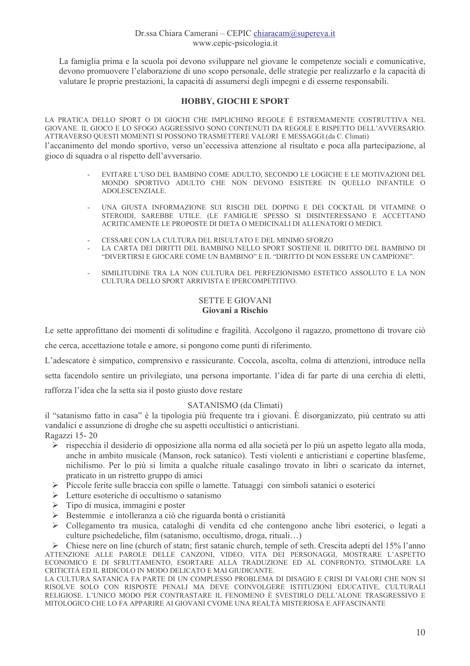La famiglia prima e la scuola poi devono sviluppare nel giovane le competenze sociali e comunicative, devono promuovere l'elaborazione di uno scopo personale, delle strategie per realizzarlo e la capacità di valutare le proprie prestazioni, la capacità di assumersi degli impegni e di esserne responsabili.

### **HOBBY, GIOCHI E SPORT**

LA PRATICA DELLO SPORT O DI GIOCHI CHE IMPLICHINO REGOLE È ESTREMAMENTE COSTRUTTIVA NEL GIOVANE. IL GIOCO E LO SFOGO AGGRESSIVO SONO CONTENUTI DA REGOLE E RISPETTO DELL'AVVERSARIO. ATTRAVERSO QUESTI MOMENTI SI POSSONO TRASMETTERE VALORI E MESSAGGI.(da C. Climati) l'accanimento del mondo sportivo, verso un'eccessiva attenzione al risultato e poca alla partecipazione, al gioco di squadra o al rispetto dell'avversario.

- EVITARE L'USO DEL BAMBINO COME ADULTO, SECONDO LE LOGICHE E LE MOTIVAZIONI DEL MONDO SPORTIVO ADULTO CHE NON DEVONO ESISTERE IN OUELLO INFANTILE O ADOLESCENZIALE.
- UNA GIUSTA INFORMAZIONE SUI RISCHI DEL DOPING E DEI COCKTAIL DI VITAMINE O STEROIDI. SAREBBE UTILE. (LE FAMIGLIE SPESSO SI DISINTERESSANO E ACCETTANO ACRITICAMENTE LE PROPOSTE DI DIETA O MEDICINALI DI ALLENATORI O MEDICI.
- CESSARE CON LA CULTURA DEL RISULTATO E DEL MINIMO SFORZO
- LA CARTA DEI DIRITTI DEL BAMBINO NELLO SPORT SOSTIENE IL DIRITTO DEL BAMBINO DI "DIVERTIRSI E GIOCARE COME UN BAMBINO" E IL "DIRITTO DI NON ESSERE UN CAMPIONE".
- SIMILITUDINE TRA LA NON CULTURA DEL PERFEZIONISMO ESTETICO ASSOLUTO E LA NON CULTURA DELLO SPORT ARRIVISTA E IPERCOMPETITIVO.

### **SETTE E GIOVANI** Giovani a Rischio

Le sette approfittano dei momenti di solitudine e fragilità. Accolgono il ragazzo, promettono di trovare ciò

che cerca, accettazione totale e amore, si pongono come punti di riferimento.

L'adescatore è simpatico, comprensivo e rassicurante. Coccola, ascolta, colma di attenzioni, introduce nella

setta facendolo sentire un privilegiato, una persona importante. l'idea di far parte di una cerchia di eletti,

rafforza l'idea che la setta sia il posto giusto dove restare

# SATANISMO (da Climati)

il "satanismo fatto in casa" è la tipologia più frequente tra i giovani. È disorganizzato, più centrato su atti vandalici e assunzione di droghe che su aspetti occultistici o anticristiani. Ragazzi 15-20

- ignor ispecchia il desiderio di opposizione alla norma ed alla società per lo più un aspetto legato alla moda, anche in ambito musicale (Manson, rock satanico). Testi violenti e anticristiani e copertine blasfeme, nichilismo. Per lo più si limita a qualche rituale casalingo trovato in libri o scaricato da internet, praticato in un ristretto gruppo di amici
- $\blacktriangleright$ Piccole ferite sulle braccia con spille o lamette. Tatuaggi con simboli satanici o esoterici
- $\triangleright$  Letture esoteriche di occultismo o satanismo
- Tipo di musica, immagini e poster
- Bestemmie e intolleranza a ciò che riguarda bontà o cristianità
- Collegamento tra musica, cataloghi di vendita ed che contengono anche libri esoterici, o legati a  $\triangleright$ culture psichedeliche, film (satanismo, occultismo, droga, rituali...)

 $\triangleright$  Chiese nere on line (church of statn; first satanic church, temple of seth. Crescita adepti del 15% l'anno ATTENZIONE ALLE PAROLE DELLE CANZONI, VIDEO, VITA DEI PERSONAGGI, MOSTRARE L'ASPETTO ECONOMICO E DI SFRUTTAMENTO, ESORTARE ALLA TRADUZIONE ED AL CONFRONTO, STIMOLARE LA CRITICITÀ ED IL RIDICOLO IN MODO DELICATO E MAI GIUDICANTE.

LA CULTURA SATANICA FA PARTE DI UN COMPLESSO PROBLEMA DI DISAGIO E CRISI DI VALORI CHE NON SI RISOLVE SOLO CON RISPOSTE PENALI MA DEVE COINVOLGERE ISTITUZIONI EDUCATIVE, CULTURALI RELIGIOSE, L'UNICO MODO PER CONTRASTARE IL FENOMENO È SVESTIRLO DELL'ALONE TRASGRESSIVO E MITOLOGICO CHE LO FA APPARIRE AI GIOVANI CVOME UNA REALTÀ MISTERIOSA E AFFASCINANTE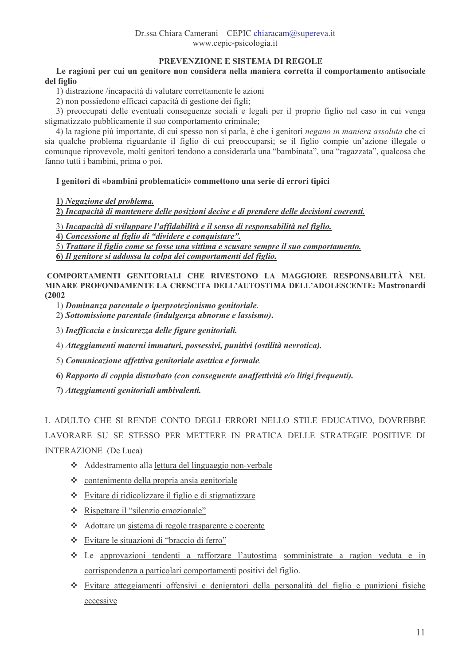# PREVENZIONE E SISTEMA DI REGOLE

Le ragioni per cui un genitore non considera nella maniera corretta il comportamento antisociale del figlio

1) distrazione /incapacità di valutare correttamente le azioni

2) non possiedono efficaci capacità di gestione dei figli:

3) preoccupati delle eventuali conseguenze sociali e legali per il proprio figlio nel caso in cui venga stigmatizzato pubblicamente il suo comportamento criminale:

4) la ragione più importante, di cui spesso non si parla, è che i genitori *negano in maniera assoluta* che ci sia qualche problema riguardante il figlio di cui preoccuparsi; se il figlio compie un'azione illegale o comunque riprovevole, molti genitori tendono a considerarla una "bambinata", una "ragazzata", qualcosa che fanno tutti i bambini, prima o poi.

### I genitori di «bambini problematici» commettono una serie di errori tipici

1) Negazione del problema.

2) Incapacità di mantenere delle posizioni decise e di prendere delle decisioni coerenti.

3) Incapacità di sviluppare l'affidabilità e il senso di responsabilità nel figlio.

4) Concessione al figlio di "dividere e conquistare".

5) Trattare il figlio come se fosse una vittima e scusare sempre il suo comportamento.

6) Il genitore si addossa la colpa dei comportamenti del figlio.

COMPORTAMENTI GENITORIALI CHE RIVESTONO LA MAGGIORE RESPONSABILITÀ NEL MINARE PROFONDAMENTE LA CRESCITA DELL'AUTOSTIMA DELL'ADOLESCENTE: Mastronardi  $(2002)$ 

1) Dominanza parentale o iperprotezionismo genitoriale.

2) Sottomissione parentale (indulgenza abnorme e lassismo).

3) Inefficacia e insicurezza delle figure genitoriali.

4) Atteggiamenti materni immaturi, possessivi, punitivi (ostilità nevrotica),

5) Comunicazione affettiva genitoriale asettica e formale.

6) Rapporto di coppia disturbato (con conseguente anaffettività e/o litigi frequenti).

7) Atteggiamenti genitoriali ambivalenti.

L ADULTO CHE SI RENDE CONTO DEGLI ERRORI NELLO STILE EDUCATIVO. DOVREBBE LAVORARE SU SE STESSO PER METTERE IN PRATICA DELLE STRATEGIE POSITIVE DI **INTERAZIONE** (De Luca)

- Addestramento alla lettura del linguaggio non-verbale
- $\div$  contenimento della propria ansia genitoriale
- Evitare di ridicolizzare il figlio e di stigmatizzare
- \* Rispettare il "silenzio emozionale"
- Adottare un sistema di regole trasparente e coerente
- \* Evitare le situazioni di "braccio di ferro"
- Le approvazioni tendenti a rafforzare l'autostima somministrate a ragion veduta e in corrispondenza a particolari comportamenti positivi del figlio.
- Evitare atteggiamenti offensivi e denigratori della personalità del figlio e punizioni fisiche eccessive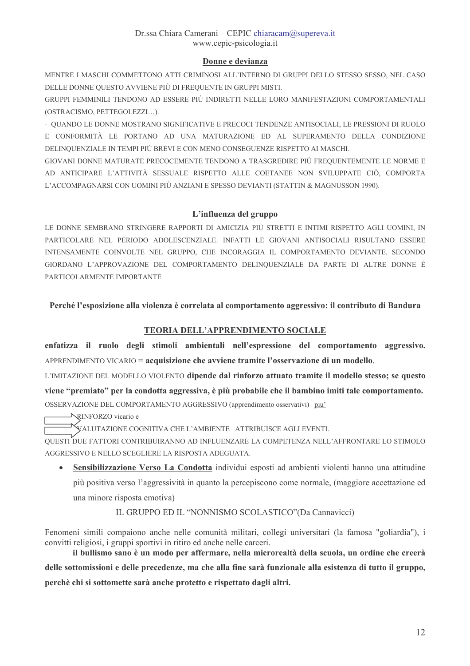# Donne e devianza

MENTRE I MASCHI COMMETTONO ATTI CRIMINOSI ALL'INTERNO DI GRUPPI DELLO STESSO SESSO, NEL CASO DELLE DONNE OUESTO AVVIENE PIÙ DI FREOUENTE IN GRUPPI MISTI.

GRUPPI FEMMINILI TENDONO AD ESSERE PIÙ INDIRETTI NELLE LORO MANIFESTAZIONI COMPORTAMENTALI (OSTRACISMO, PETTEGOLEZZI...).

- QUANDO LE DONNE MOSTRANO SIGNIFICATIVE E PRECOCI TENDENZE ANTISOCIALI, LE PRESSIONI DI RUOLO E CONFORMITÀ LE PORTANO AD UNA MATURAZIONE ED AL SUPERAMENTO DELLA CONDIZIONE DELINQUENZIALE IN TEMPI PIÙ BREVI E CON MENO CONSEGUENZE RISPETTO AI MASCHI.

GIOVANI DONNE MATURATE PRECOCEMENTE TENDONO A TRASGREDIRE PIÙ FREQUENTEMENTE LE NORME E AD ANTICIPARE L'ATTIVITÀ SESSUALE RISPETTO ALLE COETANEE NON SVILUPPATE CIÒ. COMPORTA L'ACCOMPAGNARSI CON UOMINI PIÙ ANZIANI E SPESSO DEVIANTI (STATTIN & MAGNUSSON 1990).

# L'influenza del gruppo

LE DONNE SEMBRANO STRINGERE RAPPORTI DI AMICIZIA PIÙ STRETTI E INTIMI RISPETTO AGLI UOMINI. IN PARTICOLARE NEL PERIODO ADOLESCENZIALE. INFATTI LE GIOVANI ANTISOCIALI RISULTANO ESSERE INTENSAMENTE COINVOLTE NEL GRUPPO, CHE INCORAGGIA IL COMPORTAMENTO DEVIANTE. SECONDO GIORDANO L'APPROVAZIONE DEL COMPORTAMENTO DELINOUENZIALE DA PARTE DI ALTRE DONNE È PARTICOLARMENTE IMPORTANTE

# Perché l'esposizione alla violenza è correlata al comportamento aggressivo: il contributo di Bandura

# **TEORIA DELL'APPRENDIMENTO SOCIALE**

enfatizza il ruolo degli stimoli ambientali nell'espressione del comportamento aggressivo. APPRENDIMENTO VICARIO = acquisizione che avviene tramite l'osservazione di un modello.

L'IMITAZIONE DEL MODELLO VIOLENTO dipende dal rinforzo attuato tramite il modello stesso; se questo viene "premiato" per la condotta aggressiva, è più probabile che il bambino imiti tale comportamento. OSSERVAZIONE DEL COMPORTAMENTO AGGRESSIVO (apprendimento osservativi) piu'

**NRINFORZO** vicario e

VALUTAZIONE COGNITIVA CHE L'AMBIENTE ATTRIBUISCE AGLI EVENTI.

OUESTI DUE FATTORI CONTRIBUIRANNO AD INFLUENZARE LA COMPETENZA NELL'AFFRONTARE LO STIMOLO AGGRESSIVO E NELLO SCEGLIERE LA RISPOSTA ADEGUATA.

Sensibilizzazione Verso La Condotta individui esposti ad ambienti violenti hanno una attitudine  $\bullet$ più positiva verso l'aggressività in quanto la percepiscono come normale, (maggiore accettazione ed una minore risposta emotiva)

# IL GRUPPO ED IL "NONNISMO SCOLASTICO" (Da Cannavicci)

Fenomeni simili compaiono anche nelle comunità militari, collegi universitari (la famosa "goliardia"), i convitti religiosi, i gruppi sportivi in ritiro ed anche nelle carceri.

il bullismo sano è un modo per affermare, nella microrealtà della scuola, un ordine che creerà delle sottomissioni e delle precedenze, ma che alla fine sarà funzionale alla esistenza di tutto il gruppo, perchè chi si sottomette sarà anche protetto e rispettato dagli altri.